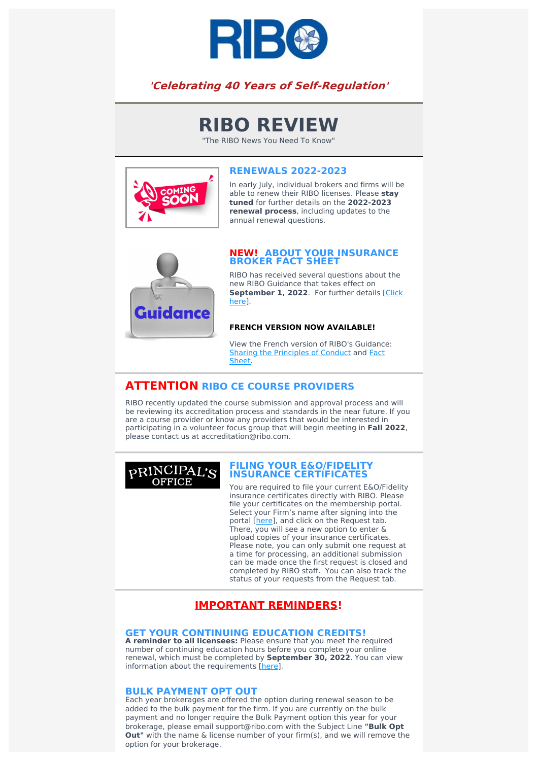

## **'Celebrating 40 Years of Self-Regulation'**

# **RIBO REVIEW**

"The RIBO News You Need To Know"



## **RENEWALS 2022-2023**

In early July, individual brokers and firms will be able to renew their RIBO licenses. Please **stay tuned** for further details on the **2022-2023 renewal process**, including updates to the annual renewal questions.



#### **NEW! ABOUT YOUR INSURANCE BROKER FACT SHEET**

RIBO has received several questions about the new RIBO Guidance that takes effect on **[September](https://www.ribo.com/ciscro-factsheet-pb/) 1, 2022**. For further details [Click here].

#### **FRENCH VERSION NOW AVAILABLE!**

View the French version of RIBO's Guidance: [Sharing](https://www.ribo.com/wp-content/uploads/2022/05/484-005_RIBO_Conduct_Sheet_FRE_links.pdf) the [Principles](https://www.ribo.com/wp-content/uploads/2022/05/484-005_RIBO_Conduct_Sheet_FRE_links.pdf) of Conduct and Fact Sheet.

## **ATTENTION RIBO CE COURSE PROVIDERS**

RIBO recently updated the course submission and approval process and will be reviewing its accreditation process and standards in the near future. If you are a course provider or know any providers that would be interested in participating in a volunteer focus group that will begin meeting in **Fall 2022**, please contact us at accreditation@ribo.com.



#### **FILING YOUR E&O/FIDELITY INSURANCE CERTIFICATES**

You are required to file your current E&O/Fidelity insurance certificates directly with RIBO. Please file your certificates on the membership portal. Select your Firm's name after signing into the portal [[here\]](https://membership.ribo.com/ThinClient/Public/LogOn/EN/#/forms/new/?table=0x8000000000000174&form=0x8000000000000026&command=0x8000000000000BD0), and click on the Request tab. There, you will see a new option to enter & upload copies of your insurance certificates. Please note, you can only submit one request at a time for processing, an additional submission can be made once the first request is closed and completed by RIBO staff. You can also track the status of your requests from the Request tab.

## **IMPORTANT REMINDERS!**

#### **GET YOUR CONTINUING EDUCATION CREDITS!**

**A reminder to all licensees:** Please ensure that you meet the required number of continuing education hours before you complete your online renewal, which must be completed by **September 30, 2022**. You can view information about the requirements [[here\]](https://www.ribo.com/continuing-education/).

### **BULK PAYMENT OPT OUT**

Each year brokerages are offered the option during renewal season to be added to the bulk payment for the firm. If you are currently on the bulk payment and no longer require the Bulk Payment option this year for your brokerage, please email support@ribo.com with the Subject Line **"Bulk Opt Out"** with the name & license number of your firm(s), and we will remove the option for your brokerage.